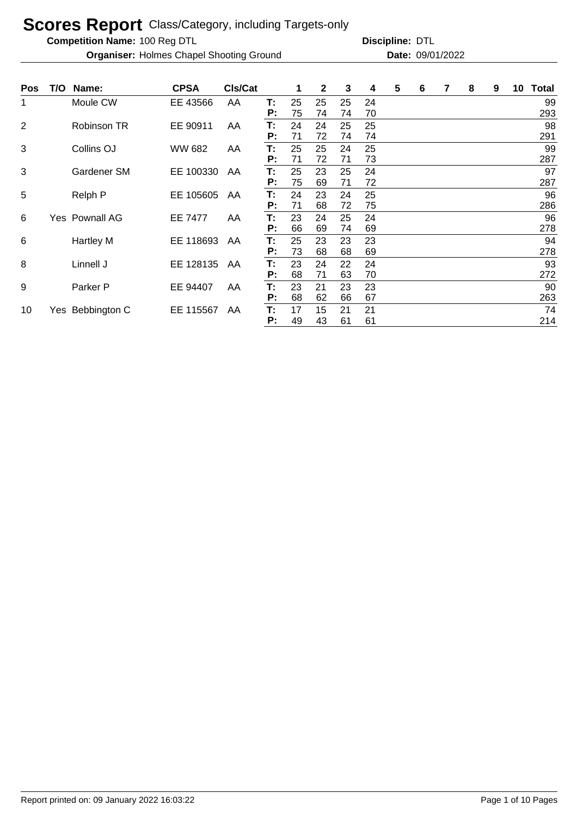**Competition Name:**

**Organiser:** Holmes Chapel Shooting Ground **Date:** 09/01/2022

| Pos            | T/O | Name:              | <b>CPSA</b> | <b>CIs/Cat</b> |          | 1        | $\mathbf{2}$ | 3        | 4        | 5 | 6 | 8 | 9 | 10 | <b>Total</b> |
|----------------|-----|--------------------|-------------|----------------|----------|----------|--------------|----------|----------|---|---|---|---|----|--------------|
| 1              |     | Moule CW           | EE 43566    | AA             | T:<br>P: | 25<br>75 | 25<br>74     | 25<br>74 | 24<br>70 |   |   |   |   |    | 99<br>293    |
| $\overline{2}$ |     | Robinson TR        | EE 90911    | AA             | T:<br>P: | 24<br>71 | 24<br>72     | 25<br>74 | 25<br>74 |   |   |   |   |    | 98<br>291    |
| 3              |     | Collins OJ         | WW 682      | AA             | Т.<br>P: | 25<br>71 | 25<br>72     | 24<br>71 | 25<br>73 |   |   |   |   |    | 99<br>287    |
| 3              |     | <b>Gardener SM</b> | EE 100330   | AA             | T:<br>P: | 25<br>75 | 23<br>69     | 25<br>71 | 24<br>72 |   |   |   |   |    | 97<br>287    |
| 5              |     | Relph P            | EE 105605   | AA             | T:<br>P: | 24<br>71 | 23<br>68     | 24<br>72 | 25<br>75 |   |   |   |   |    | 96<br>286    |
| 6              |     | Yes Pownall AG     | EE 7477     | AA             | T:<br>P: | 23<br>66 | 24<br>69     | 25<br>74 | 24<br>69 |   |   |   |   |    | 96<br>278    |
| 6              |     | <b>Hartley M</b>   | EE 118693   | AA             | T:<br>P: | 25<br>73 | 23<br>68     | 23<br>68 | 23<br>69 |   |   |   |   |    | 94<br>278    |
| 8              |     | Linnell J          | EE 128135   | AA             | T:<br>P: | 23<br>68 | 24<br>71     | 22<br>63 | 24<br>70 |   |   |   |   |    | 93<br>272    |
| 9              |     | Parker P           | EE 94407    | AA             | T:<br>P: | 23<br>68 | 21<br>62     | 23<br>66 | 23<br>67 |   |   |   |   |    | 90<br>263    |
| 10             |     | Yes Bebbington C   | EE 115567   | AA             | Т:<br>P: | 17<br>49 | 15<br>43     | 21<br>61 | 21<br>61 |   |   |   |   |    | 74<br>214    |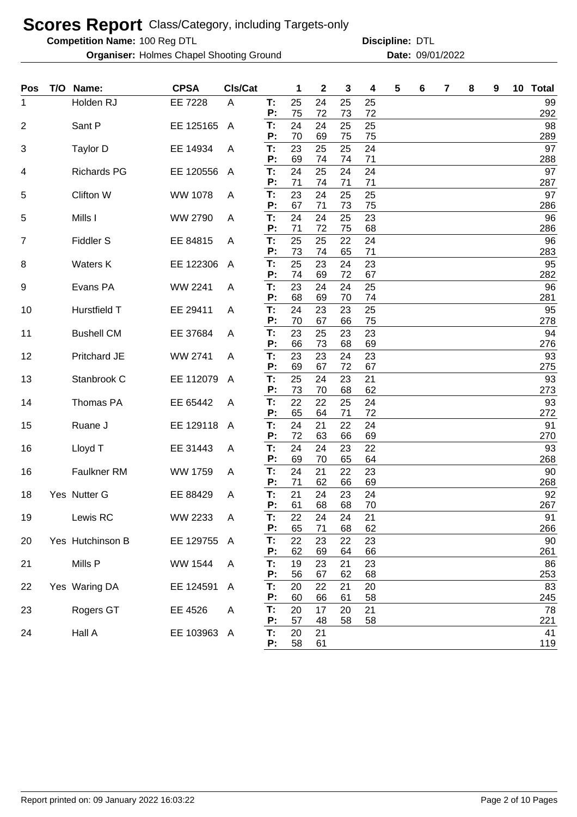**Competition Name:**

**Organiser:** Holmes Chapel Shooting Ground **Date:** 09/01/2022

| <b>Pos</b> | T/O | Name:              | <b>CPSA</b>    | CIs/Cat        |          | 1        | 2        | 3        | 4        | 5 | 6 | 7 | 8 | 9 | 10 | <b>Total</b> |
|------------|-----|--------------------|----------------|----------------|----------|----------|----------|----------|----------|---|---|---|---|---|----|--------------|
| 1          |     | Holden RJ          | EE 7228        | A              | T:       | 25       | 24       | 25       | 25       |   |   |   |   |   |    | 99           |
|            |     |                    |                |                | P:       | 75<br>24 | 72       | 73       | 72       |   |   |   |   |   |    | 292<br>98    |
| 2          |     | Sant P             | EE 125165      | $\overline{A}$ | T:<br>Ρ. | 70       | 24<br>69 | 25<br>75 | 25<br>75 |   |   |   |   |   |    | 289          |
| 3          |     | Taylor D           | EE 14934       | A              | T:       | 23       | 25       | 25       | 24       |   |   |   |   |   |    | 97           |
|            |     |                    |                |                | Ρ.       | 69       | 74       | 74       | 71       |   |   |   |   |   |    | 288          |
| 4          |     | <b>Richards PG</b> | EE 120556      | A              | T:<br>Ρ: | 24<br>71 | 25<br>74 | 24<br>71 | 24<br>71 |   |   |   |   |   |    | 97<br>287    |
| 5          |     | Clifton W          | <b>WW 1078</b> | A              | T:       | 23       | 24       | 25       | 25       |   |   |   |   |   |    | 97           |
|            |     |                    |                |                | Ρ:       | 67       | 71       | 73       | 75       |   |   |   |   |   |    | 286          |
| 5          |     | Mills I            | WW 2790        | A              | T:       | 24       | 24       | 25       | 23       |   |   |   |   |   |    | 96           |
| 7          |     | Fiddler S          | EE 84815       | A              | Ρ:<br>T: | 71<br>25 | 72<br>25 | 75<br>22 | 68<br>24 |   |   |   |   |   |    | 286<br>96    |
|            |     |                    |                |                | Ρ:       | 73       | 74       | 65       | 71       |   |   |   |   |   |    | 283          |
| 8          |     | <b>Waters K</b>    | EE 122306      | A              | T:       | 25       | 23       | 24       | 23       |   |   |   |   |   |    | 95           |
|            |     |                    |                |                | P:       | 74       | 69       | 72       | 67       |   |   |   |   |   |    | 282          |
| 9          |     | Evans PA           | WW 2241        | A              | T:<br>P: | 23<br>68 | 24<br>69 | 24<br>70 | 25<br>74 |   |   |   |   |   |    | 96<br>281    |
| 10         |     | Hurstfield T       | EE 29411       | A              | T:       | 24       | 23       | 23       | 25       |   |   |   |   |   |    | 95           |
|            |     |                    |                |                | P:       | 70       | 67       | 66       | 75       |   |   |   |   |   |    | 278          |
| 11         |     | <b>Bushell CM</b>  | EE 37684       | A              | T:       | 23       | 25       | 23       | 23       |   |   |   |   |   |    | 94           |
|            |     |                    |                |                | Р:<br>T: | 66<br>23 | 73<br>23 | 68       | 69       |   |   |   |   |   |    | 276<br>93    |
| 12         |     | Pritchard JE       | WW 2741        | A              | Р:       | 69       | 67       | 24<br>72 | 23<br>67 |   |   |   |   |   |    | 275          |
| 13         |     | Stanbrook C        | EE 112079      | A              | T:       | 25       | 24       | 23       | 21       |   |   |   |   |   |    | 93           |
|            |     |                    |                |                | Р:       | 73       | 70       | 68       | 62       |   |   |   |   |   |    | 273          |
| 14         |     | Thomas PA          | EE 65442       | A              | T:<br>Р: | 22<br>65 | 22<br>64 | 25<br>71 | 24<br>72 |   |   |   |   |   |    | 93<br>272    |
| 15         |     | Ruane J            | EE 129118      | A              | T:       | 24       | 21       | 22       | 24       |   |   |   |   |   |    | 91           |
|            |     |                    |                |                | Р:       | 72       | 63       | 66       | 69       |   |   |   |   |   |    | 270          |
| 16         |     | Lloyd T            | EE 31443       | A              | T:       | 24       | 24       | 23       | 22       |   |   |   |   |   |    | 93           |
|            |     | <b>Faulkner RM</b> | WW 1759        |                | Р:<br>T: | 69<br>24 | 70<br>21 | 65<br>22 | 64<br>23 |   |   |   |   |   |    | 268<br>90    |
| 16         |     |                    |                | A              | P:       | 71       | 62       | 66       | 69       |   |   |   |   |   |    | 268          |
| 18         |     | Yes Nutter G       | EE 88429       | A              | T:       | 21       | 24       | 23       | 24       |   |   |   |   |   |    | 92           |
|            |     |                    |                |                | Ρ:       | 61       | 68       | 68       | 70       |   |   |   |   |   |    | 267          |
| 19         |     | Lewis RC           | WW 2233        | A              | Т:<br>P: | 22<br>65 | 24<br>71 | 24<br>68 | 21<br>62 |   |   |   |   |   |    | 91<br>266    |
| 20         |     | Yes Hutchinson B   | EE 129755 A    |                | T:       | 22       | 23       | 22       | 23       |   |   |   |   |   |    | 90           |
|            |     |                    |                |                | P:       | 62       | 69       | 64       | 66       |   |   |   |   |   |    | 261          |
| 21         |     | Mills P            | WW 1544        | A              | T:       | 19       | 23       | 21       | 23       |   |   |   |   |   |    | 86           |
|            |     |                    |                |                | P:       | 56       | 67       | 62       | 68       |   |   |   |   |   |    | 253          |
| 22         |     | Yes Waring DA      | EE 124591      | $\mathsf{A}$   | T:<br>Ρ: | 20<br>60 | 22<br>66 | 21<br>61 | 20<br>58 |   |   |   |   |   |    | 83<br>245    |
| 23         |     | Rogers GT          | EE 4526        | A              | T:       | 20       | 17       | 20       | 21       |   |   |   |   |   |    | 78           |
|            |     |                    |                |                | P:       | 57       | 48       | 58       | 58       |   |   |   |   |   |    | 221          |
| 24         |     | Hall A             | EE 103963 A    |                | T:       | 20       | 21       |          |          |   |   |   |   |   |    | 41           |
|            |     |                    |                |                | P:       | 58       | 61       |          |          |   |   |   |   |   |    | 119          |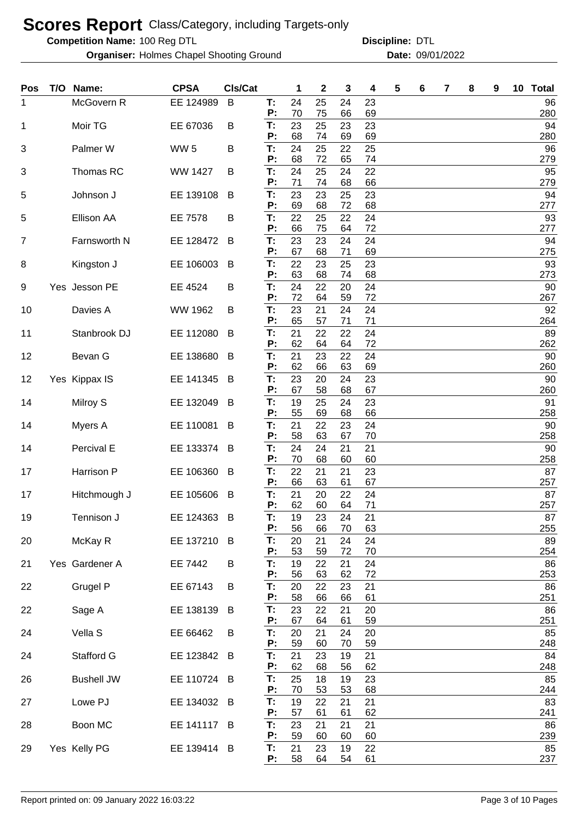**Competition Name:**

**Organiser:** Holmes Chapel Shooting Ground **Date:** 09/01/2022

| <b>Pos</b>     | T/O | Name:             | <b>CPSA</b>     | Cls/Cat |          | 1        | 2        | 3        | 4        | 5 | 6 | 7 | 8 | 9 | 10 Total  |
|----------------|-----|-------------------|-----------------|---------|----------|----------|----------|----------|----------|---|---|---|---|---|-----------|
| 1              |     | McGovern R        | EE 124989       | B       | Т:       | 24       | 25       | 24       | 23       |   |   |   |   |   | 96        |
| 1              |     | Moir TG           | EE 67036        | B       | P:<br>T: | 70<br>23 | 75<br>25 | 66<br>23 | 69<br>23 |   |   |   |   |   | 280<br>94 |
|                |     |                   |                 |         | P:       | 68       | 74       | 69       | 69       |   |   |   |   |   | 280       |
| 3              |     | Palmer W          | WW <sub>5</sub> | B       | T:<br>Ρ: | 24<br>68 | 25<br>72 | 22<br>65 | 25<br>74 |   |   |   |   |   | 96<br>279 |
| 3              |     | Thomas RC         | <b>WW 1427</b>  | B       | T:       | 24       | 25       | 24       | 22       |   |   |   |   |   | 95        |
| 5              |     | Johnson J         | EE 139108       | B       | P:<br>T: | 71<br>23 | 74<br>23 | 68<br>25 | 66<br>23 |   |   |   |   |   | 279<br>94 |
|                |     |                   |                 |         | P:       | 69       | 68       | 72       | 68       |   |   |   |   |   | 277       |
| 5              |     | Ellison AA        | EE 7578         | B       | T:       | 22       | 25       | 22       | 24       |   |   |   |   |   | 93        |
| $\overline{7}$ |     | Farnsworth N      | EE 128472       | B       | P:<br>T: | 66<br>23 | 75<br>23 | 64<br>24 | 72<br>24 |   |   |   |   |   | 277<br>94 |
|                |     |                   |                 |         | P:       | 67       | 68       | 71       | 69       |   |   |   |   |   | 275       |
| 8              |     | Kingston J        | EE 106003       | B       | T:<br>P: | 22<br>63 | 23<br>68 | 25<br>74 | 23<br>68 |   |   |   |   |   | 93<br>273 |
| 9              |     | Yes Jesson PE     | EE 4524         | B       | T:       | 24       | 22       | 20       | 24       |   |   |   |   |   | 90        |
|                |     |                   |                 |         | P:<br>T: | 72<br>23 | 64<br>21 | 59<br>24 | 72<br>24 |   |   |   |   |   | 267<br>92 |
| 10             |     | Davies A          | WW 1962         | B       | P:       | 65       | 57       | 71       | 71       |   |   |   |   |   | 264       |
| 11             |     | Stanbrook DJ      | EE 112080       | B       | T:       | 21       | 22       | 22       | 24       |   |   |   |   |   | 89        |
| 12             |     | Bevan G           | EE 138680       | B       | P:<br>T: | 62<br>21 | 64<br>23 | 64<br>22 | 72<br>24 |   |   |   |   |   | 262<br>90 |
|                |     |                   |                 |         | P:       | 62       | 66       | 63       | 69       |   |   |   |   |   | 260       |
| 12             |     | Yes Kippax IS     | EE 141345       | B       | T:<br>P: | 23<br>67 | 20<br>58 | 24<br>68 | 23<br>67 |   |   |   |   |   | 90<br>260 |
| 14             |     | Milroy S          | EE 132049       | B       | T:       | 19       | 25       | 24       | 23       |   |   |   |   |   | 91        |
|                |     |                   |                 |         | P:       | 55       | 69       | 68       | 66       |   |   |   |   |   | 258       |
| 14             |     | Myers A           | EE 110081       | B       | T:<br>P: | 21<br>58 | 22<br>63 | 23<br>67 | 24<br>70 |   |   |   |   |   | 90<br>258 |
| 14             |     | Percival E        | EE 133374       | B       | T:       | 24       | 24       | 21       | 21       |   |   |   |   |   | 90        |
| 17             |     | Harrison P        | EE 106360       | B       | P:<br>T: | 70<br>22 | 68<br>21 | 60<br>21 | 60<br>23 |   |   |   |   |   | 258<br>87 |
|                |     |                   |                 |         | P:       | 66       | 63       | 61       | 67       |   |   |   |   |   | 257       |
| 17             |     | Hitchmough J      | EE 105606       | B       | T:<br>P: | 21<br>62 | 20<br>60 | 22<br>64 | 24<br>71 |   |   |   |   |   | 87<br>257 |
| 19             |     | Tennison J        | EE 124363       | B       | Т:       | 19       | 23       | 24       | 21       |   |   |   |   |   | 87        |
|                |     |                   |                 |         | P:       | 56       | 66       | 70       | 63       |   |   |   |   |   | 255       |
| 20             |     | McKay R           | EE 137210       | B       | T:<br>P: | 20<br>53 | 21<br>59 | 24<br>72 | 24<br>70 |   |   |   |   |   | 89<br>254 |
| 21             |     | Yes Gardener A    | EE 7442         | B       | T:       | 19       | 22       | 21       | 24       |   |   |   |   |   | 86        |
| 22             |     | Grugel P          | EE 67143        | B       | P:<br>T: | 56<br>20 | 63<br>22 | 62<br>23 | 72<br>21 |   |   |   |   |   | 253<br>86 |
|                |     |                   |                 |         | P:       | 58       | 66       | 66       | 61       |   |   |   |   |   | 251       |
| 22             |     | Sage A            | EE 138139       | B       | T:<br>P: | 23<br>67 | 22<br>64 | 21<br>61 | 20<br>59 |   |   |   |   |   | 86<br>251 |
| 24             |     | Vella S           | EE 66462        | B       | T:       | 20       | 21       | 24       | 20       |   |   |   |   |   | 85        |
|                |     |                   |                 |         | P:       | 59       | 60       | 70       | 59       |   |   |   |   |   | 248       |
| 24             |     | Stafford G        | EE 123842       | B       | T:<br>P: | 21<br>62 | 23<br>68 | 19<br>56 | 21<br>62 |   |   |   |   |   | 84<br>248 |
| 26             |     | <b>Bushell JW</b> | EE 110724       | B       | T:       | 25       | 18       | 19       | 23       |   |   |   |   |   | 85        |
| 27             |     | Lowe PJ           | EE 134032       | B       | P:<br>T: | 70<br>19 | 53<br>22 | 53<br>21 | 68<br>21 |   |   |   |   |   | 244<br>83 |
|                |     |                   |                 |         | P:       | 57       | 61       | 61       | 62       |   |   |   |   |   | 241       |
| 28             |     | Boon MC           | EE 141117       | B       | T:       | 23       | 21       | 21       | 21       |   |   |   |   |   | 86        |
| 29             |     | Yes Kelly PG      | EE 139414 B     |         | Ρ.<br>T: | 59<br>21 | 60<br>23 | 60<br>19 | 60<br>22 |   |   |   |   |   | 239<br>85 |
|                |     |                   |                 |         | P:       | 58       | 64       | 54       | 61       |   |   |   |   |   | 237       |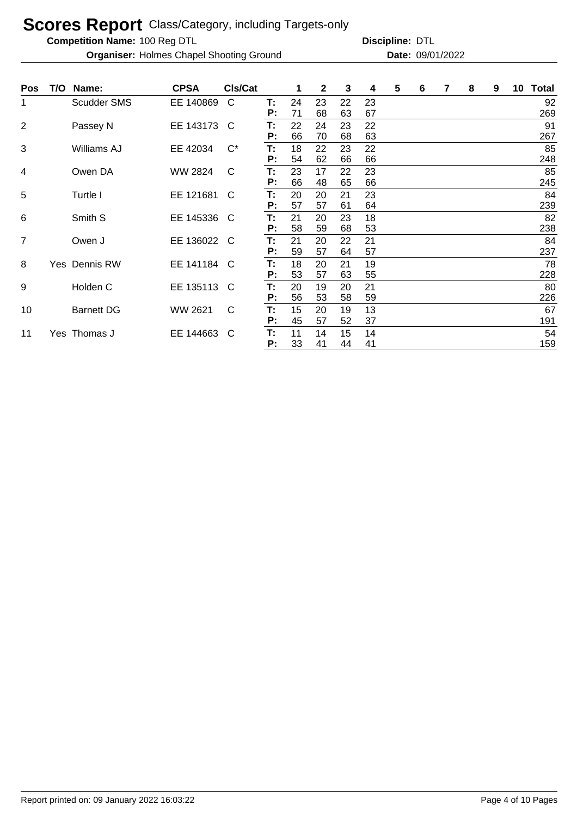**Competition Name:**

**Organiser:** Holmes Chapel Shooting Ground **Date:** 09/01/2022

| T:<br><b>Scudder SMS</b><br>EE 140869<br>C<br>24<br>23<br>23<br>22<br>1<br>P:<br>71<br>68<br>63<br>67<br>2<br>EE 143173<br>22<br>22<br>Т:<br>24<br>23<br>Passey N<br>C<br>66<br>P:<br>70<br>63<br>68<br>$C^*$<br>3<br>EE 42034<br>Williams AJ<br>18<br>22<br>22<br>Т:<br>23 | 92<br>269<br>91 |
|-----------------------------------------------------------------------------------------------------------------------------------------------------------------------------------------------------------------------------------------------------------------------------|-----------------|
|                                                                                                                                                                                                                                                                             |                 |
|                                                                                                                                                                                                                                                                             |                 |
|                                                                                                                                                                                                                                                                             |                 |
|                                                                                                                                                                                                                                                                             | 267             |
|                                                                                                                                                                                                                                                                             | 85              |
| Ρ:<br>54<br>62<br>66<br>66                                                                                                                                                                                                                                                  | 248             |
| <b>WW 2824</b><br>Т:<br>23<br>Owen DA<br>C<br>17<br>23<br>4<br>22                                                                                                                                                                                                           | 85              |
| 66<br>P:<br>48<br>65<br>66                                                                                                                                                                                                                                                  | 245             |
| 5<br>EE 121681<br>T:<br>20<br>20<br>23<br>Turtle I<br>21<br>C                                                                                                                                                                                                               | 84              |
| 57<br>64<br>Ρ:<br>57<br>61                                                                                                                                                                                                                                                  | 239             |
| T:<br>6<br>Smith S<br>EE 145336<br>21<br>18<br>20<br>23<br><sub>C</sub>                                                                                                                                                                                                     | 82              |
| 58                                                                                                                                                                                                                                                                          |                 |
| P:<br>59<br>53<br>68                                                                                                                                                                                                                                                        | 238             |
| T:<br>$\overline{7}$<br>EE 136022<br>21<br>20<br>21<br>Owen J<br><sub>C</sub><br>22                                                                                                                                                                                         | 84              |
| 59<br>P:<br>57<br>57<br>64                                                                                                                                                                                                                                                  | 237             |
| 19<br>8<br>Yes Dennis RW<br>EE 141184<br>T:<br>18<br>C<br>20<br>21                                                                                                                                                                                                          | 78              |
| 53<br>P:<br>57<br>63<br>55                                                                                                                                                                                                                                                  | 228             |
| EE 135113<br>T:<br>9<br>Holden C<br>20<br>19<br>21<br>C<br>20                                                                                                                                                                                                               | 80              |
| P:<br>56<br>53<br>59<br>58                                                                                                                                                                                                                                                  | 226             |
| $\mathsf{C}$<br>15<br>13<br><b>Barnett DG</b><br>WW 2621<br>20<br>19<br>10<br>Т:                                                                                                                                                                                            | 67              |
| 45<br>57<br>P:<br>52<br>37                                                                                                                                                                                                                                                  | 191             |
| T:<br>EE 144663<br>Yes Thomas J<br>C<br>11<br>14<br>15<br>14<br>11                                                                                                                                                                                                          | 54              |
| Ρ:<br>33<br>41<br>44<br>41                                                                                                                                                                                                                                                  | 159             |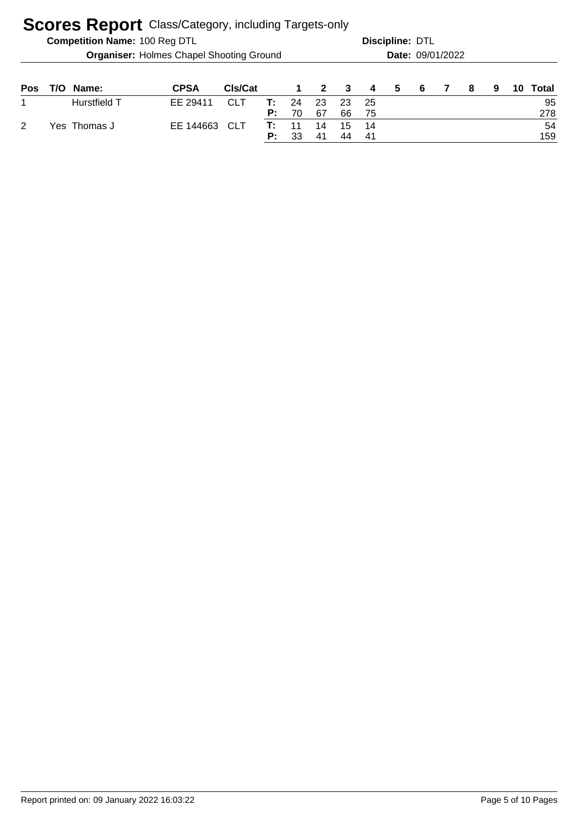|     |                                                 | <b>Competition Name: 100 Reg DTL</b> |             |            |          |          |                         | Discipline: DTL | Date: 09/01/2022 |   |    |   |   |    |           |
|-----|-------------------------------------------------|--------------------------------------|-------------|------------|----------|----------|-------------------------|-----------------|------------------|---|----|---|---|----|-----------|
|     | <b>Organiser: Holmes Chapel Shooting Ground</b> |                                      |             |            |          |          |                         |                 |                  |   |    |   |   |    |           |
| Pos | T/O.                                            | Name:                                | <b>CPSA</b> | Cls/Cat    |          |          | $\overline{\mathbf{2}}$ | - 3             | 4                | 5 | -6 | 8 | 9 | 10 | Total     |
|     |                                                 | Hurstfield T                         | EE 29411    | <b>CLT</b> | т:<br>P: | 24<br>70 | 23<br>67                | 23<br>66        | -25<br>75        |   |    |   |   |    | 95<br>278 |
| 2   |                                                 | Yes Thomas J                         | EE 144663   | CLT        | Т:<br>P: | 11<br>33 | 14<br>41                | 15<br>44        | 14<br>-41        |   |    |   |   |    | 54<br>159 |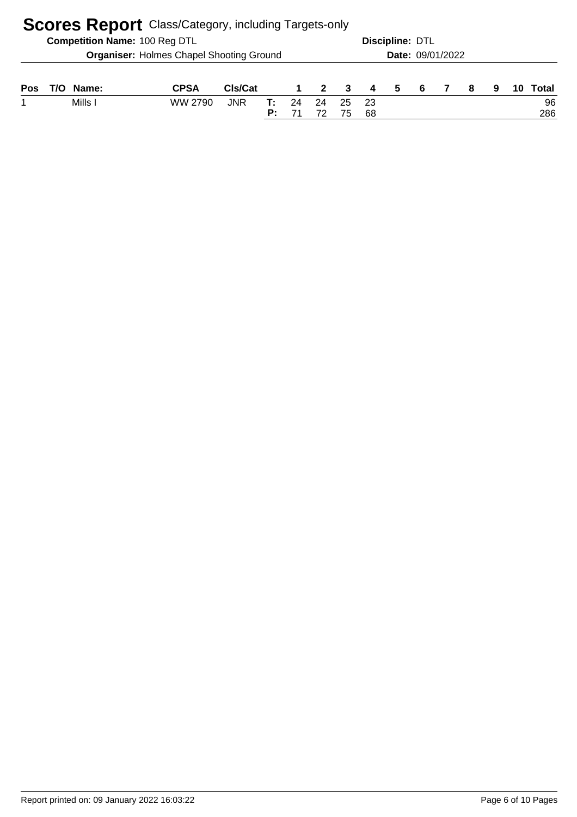|     | <b>Scores Report</b> Class/Category, including Targets-only |                                      |                                                 |            |          |          |                |          |                |                        |                         |  |   |   |  |           |
|-----|-------------------------------------------------------------|--------------------------------------|-------------------------------------------------|------------|----------|----------|----------------|----------|----------------|------------------------|-------------------------|--|---|---|--|-----------|
|     |                                                             | <b>Competition Name: 100 Reg DTL</b> |                                                 |            |          |          |                |          |                | <b>Discipline: DTL</b> |                         |  |   |   |  |           |
|     |                                                             |                                      | <b>Organiser: Holmes Chapel Shooting Ground</b> |            |          |          |                |          |                |                        | <b>Date: 09/01/2022</b> |  |   |   |  |           |
| Pos | T/O .                                                       | Name:                                | <b>CPSA</b>                                     | Cls/Cat    |          |          | $\overline{2}$ | - 3      | $\overline{4}$ | 5                      | -6                      |  | 8 | 9 |  | Total     |
|     |                                                             | Mills I                              | WW 2790                                         | <b>JNR</b> | т:<br>P: | 24<br>71 | 24<br>72       | 25<br>75 | -23<br>68      |                        |                         |  |   |   |  | 96<br>286 |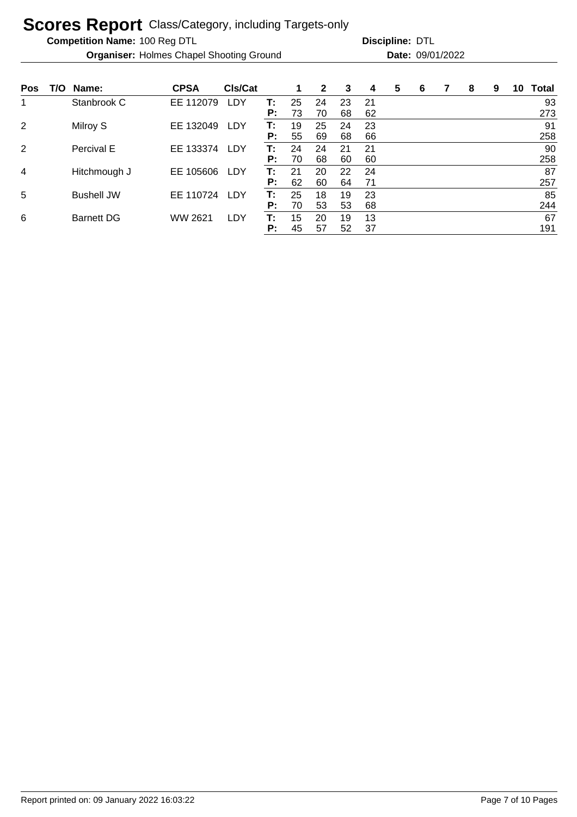**Competition Name:**

**Organiser:** Holmes Chapel Shooting Ground **Date:** 09/01/2022

| <b>Pos</b>     | T/O | Name:             | <b>CPSA</b> | CIs/Cat    |    |    | $\mathbf{2}$ | 3  | 4   | 5 | 6 | 8 | 9 | 10 | <b>Total</b> |
|----------------|-----|-------------------|-------------|------------|----|----|--------------|----|-----|---|---|---|---|----|--------------|
| 1              |     | Stanbrook C       | EE 112079   | LDY        | т: | 25 | 24           | 23 | -21 |   |   |   |   |    | 93           |
|                |     |                   |             |            | P: | 73 | 70           | 68 | 62  |   |   |   |   |    | 273          |
| $\overline{2}$ |     | Milroy S          | EE 132049   | LDY        | T: | 19 | 25           | 24 | 23  |   |   |   |   |    | 91           |
|                |     |                   |             |            | P: | 55 | 69           | 68 | 66  |   |   |   |   |    | 258          |
| 2              |     | Percival E        | EE 133374   | <b>LDY</b> | т: | 24 | 24           | 21 | 21  |   |   |   |   |    | 90           |
|                |     |                   |             |            | P: | 70 | 68           | 60 | 60  |   |   |   |   |    | 258          |
| 4              |     | Hitchmough J      | EE 105606   | LDY        | т: | 21 | 20           | 22 | 24  |   |   |   |   |    | 87           |
|                |     |                   |             |            | P: | 62 | 60           | 64 | 71  |   |   |   |   |    | 257          |
| 5              |     | <b>Bushell JW</b> | EE 110724   | <b>LDY</b> | Т: | 25 | 18           | 19 | 23  |   |   |   |   |    | 85           |
|                |     |                   |             |            | P: | 70 | 53           | 53 | 68  |   |   |   |   |    | 244          |
| 6              |     | <b>Barnett DG</b> | WW 2621     | LDY        | Т: | 15 | 20           | 19 | 13  |   |   |   |   |    | 67           |
|                |     |                   |             |            | P: | 45 | 57           | 52 | 37  |   |   |   |   |    | 191          |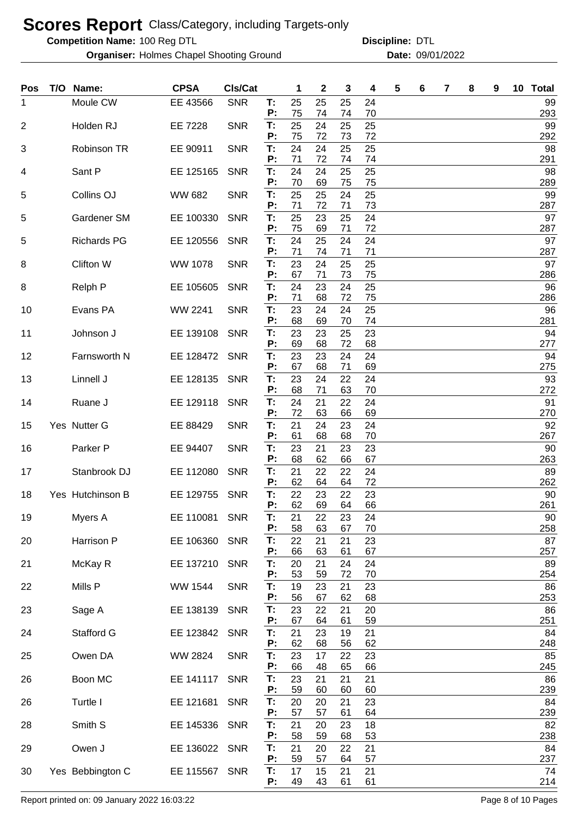**Competition Name:**

**Organiser:** Holmes Chapel Shooting Ground **Date:** 09/01/2022

| Pos | T/O | Name:               | <b>CPSA</b>    | CIs/Cat    |          | 1        | 2        | 3        | 4        | 5 | 6 | 7 | 8 | 9 | 10 | <b>Total</b> |
|-----|-----|---------------------|----------------|------------|----------|----------|----------|----------|----------|---|---|---|---|---|----|--------------|
| 1   |     | Moule CW            | EE 43566       | <b>SNR</b> | T:<br>P: | 25<br>75 | 25<br>74 | 25<br>74 | 24<br>70 |   |   |   |   |   |    | 99<br>293    |
| 2   |     | Holden RJ           | EE 7228        | <b>SNR</b> | T:       | 25       | 24       | 25       | 25       |   |   |   |   |   |    | 99           |
| 3   |     | Robinson TR         | EE 90911       | <b>SNR</b> | P:<br>T: | 75<br>24 | 72<br>24 | 73<br>25 | 72<br>25 |   |   |   |   |   |    | 292<br>98    |
| 4   |     | Sant P              | EE 125165      | <b>SNR</b> | P:<br>T: | 71<br>24 | 72<br>24 | 74<br>25 | 74<br>25 |   |   |   |   |   |    | 291<br>98    |
|     |     |                     |                |            | P:       | 70       | 69       | 75       | 75       |   |   |   |   |   |    | 289          |
| 5   |     | Collins OJ          | <b>WW 682</b>  | <b>SNR</b> | T:<br>P: | 25<br>71 | 25<br>72 | 24<br>71 | 25<br>73 |   |   |   |   |   |    | 99<br>287    |
| 5   |     | Gardener SM         | EE 100330      | <b>SNR</b> | Т.<br>P: | 25<br>75 | 23<br>69 | 25<br>71 | 24<br>72 |   |   |   |   |   |    | 97<br>287    |
| 5   |     | <b>Richards PG</b>  | EE 120556      | <b>SNR</b> | T:       | 24       | 25       | 24       | 24       |   |   |   |   |   |    | 97           |
| 8   |     | Clifton W           | <b>WW 1078</b> | <b>SNR</b> | P:<br>T: | 71<br>23 | 74<br>24 | 71<br>25 | 71<br>25 |   |   |   |   |   |    | 287<br>97    |
| 8   |     | Relph P             | EE 105605      | <b>SNR</b> | P:<br>T: | 67<br>24 | 71<br>23 | 73<br>24 | 75<br>25 |   |   |   |   |   |    | 286<br>96    |
|     |     |                     |                |            | P:       | 71       | 68       | 72       | 75       |   |   |   |   |   |    | 286          |
| 10  |     | Evans PA            | WW 2241        | <b>SNR</b> | T:<br>P: | 23<br>68 | 24<br>69 | 24<br>70 | 25<br>74 |   |   |   |   |   |    | 96<br>281    |
| 11  |     | Johnson J           | EE 139108      | <b>SNR</b> | T:<br>P: | 23<br>69 | 23<br>68 | 25<br>72 | 23<br>68 |   |   |   |   |   |    | 94<br>277    |
| 12  |     | Farnsworth N        | EE 128472      | <b>SNR</b> | T:       | 23       | 23       | 24       | 24       |   |   |   |   |   |    | 94           |
| 13  |     | Linnell J           | EE 128135      | <b>SNR</b> | Ρ:<br>T: | 67<br>23 | 68<br>24 | 71<br>22 | 69<br>24 |   |   |   |   |   |    | 275<br>93    |
|     |     |                     |                | <b>SNR</b> | P:<br>T: | 68<br>24 | 71<br>21 | 63<br>22 | 70       |   |   |   |   |   |    | 272<br>91    |
| 14  |     | Ruane J             | EE 129118      |            | P:       | 72       | 63       | 66       | 24<br>69 |   |   |   |   |   |    | 270          |
| 15  |     | Yes Nutter G        | EE 88429       | <b>SNR</b> | T:<br>P: | 21<br>61 | 24<br>68 | 23<br>68 | 24<br>70 |   |   |   |   |   |    | 92<br>267    |
| 16  |     | Parker <sub>P</sub> | EE 94407       | <b>SNR</b> | T:<br>Р: | 23<br>68 | 21<br>62 | 23<br>66 | 23<br>67 |   |   |   |   |   |    | 90<br>263    |
| 17  |     | Stanbrook DJ        | EE 112080      | <b>SNR</b> | T:       | 21       | 22       | 22       | 24       |   |   |   |   |   |    | 89           |
| 18  |     | Yes Hutchinson B    | EE 129755      | <b>SNR</b> | P:<br>T: | 62<br>22 | 64<br>23 | 64<br>22 | 72<br>23 |   |   |   |   |   |    | 262<br>90    |
|     |     |                     |                |            | P:       | 62       | 69       | 64       | 66       |   |   |   |   |   |    | 261          |
| 19  |     | Myers A             | EE 110081 SNR  |            | Т:<br>P: | 21<br>58 | 22<br>63 | 23<br>67 | 24<br>70 |   |   |   |   |   |    | 90<br>258    |
| 20  |     | Harrison P          | EE 106360 SNR  |            | T:<br>P: | 22<br>66 | 21<br>63 | 21<br>61 | 23<br>67 |   |   |   |   |   |    | 87<br>257    |
| 21  |     | McKay R             | EE 137210      | <b>SNR</b> | T:<br>P: | 20<br>53 | 21<br>59 | 24<br>72 | 24<br>70 |   |   |   |   |   |    | 89<br>254    |
| 22  |     | Mills P             | <b>WW 1544</b> | <b>SNR</b> | T:       | 19       | 23       | 21       | 23       |   |   |   |   |   |    | 86           |
| 23  |     | Sage A              | EE 138139      | <b>SNR</b> | P:<br>T: | 56<br>23 | 67<br>22 | 62<br>21 | 68<br>20 |   |   |   |   |   |    | 253<br>86    |
|     |     | <b>Stafford G</b>   |                |            | P:       | 67<br>21 | 64<br>23 | 61       | 59<br>21 |   |   |   |   |   |    | 251<br>84    |
| 24  |     |                     | EE 123842      | <b>SNR</b> | T:<br>P: | 62       | 68       | 19<br>56 | 62       |   |   |   |   |   |    | 248          |
| 25  |     | Owen DA             | WW 2824        | <b>SNR</b> | T:<br>P: | 23<br>66 | 17<br>48 | 22<br>65 | 23<br>66 |   |   |   |   |   |    | 85<br>245    |
| 26  |     | Boon MC             | EE 141117      | <b>SNR</b> | T:<br>P: | 23<br>59 | 21       | 21<br>60 | 21<br>60 |   |   |   |   |   |    | 86<br>239    |
| 26  |     | Turtle I            | EE 121681      | <b>SNR</b> | T:       | 20       | 60<br>20 | 21       | 23       |   |   |   |   |   |    | 84           |
| 28  |     | Smith S             | EE 145336      | <b>SNR</b> | P:<br>T: | 57<br>21 | 57<br>20 | 61<br>23 | 64<br>18 |   |   |   |   |   |    | 239<br>82    |
|     |     |                     |                |            | P:       | 58       | 59       | 68       | 53       |   |   |   |   |   |    | 238          |
| 29  |     | Owen J              | EE 136022      | <b>SNR</b> | T:<br>P: | 21<br>59 | 20<br>57 | 22<br>64 | 21<br>57 |   |   |   |   |   |    | 84<br>237    |
| 30  |     | Yes Bebbington C    | EE 115567 SNR  |            | Т.<br>P: | 17<br>49 | 15<br>43 | 21<br>61 | 21<br>61 |   |   |   |   |   |    | 74<br>214    |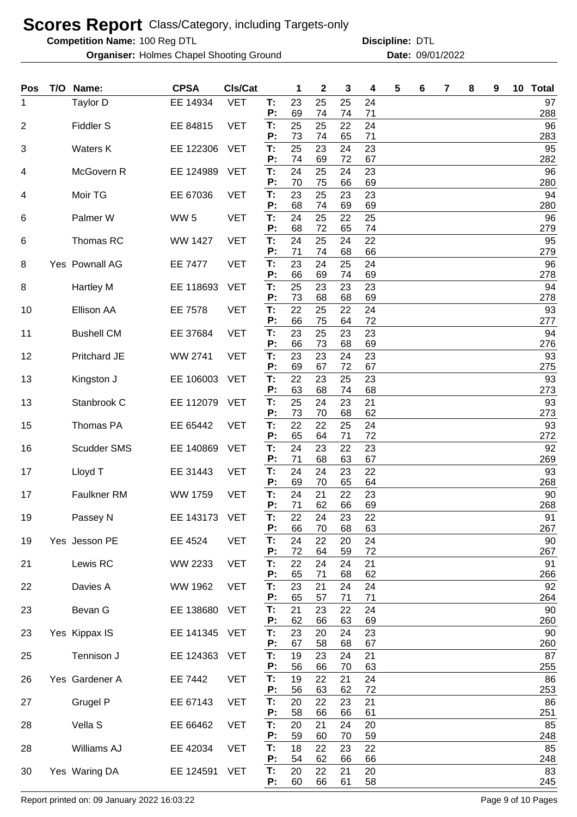**Competition Name:**

**Organiser:** Holmes Chapel Shooting Ground **Date:** 09/01/2022

100 Reg DTL **Discipline:** DTL

| Pos            | T/O | Name:              | <b>CPSA</b>     | CIs/Cat    |          | 1        | 2        | 3        | 4        | 5 | 6 | 7 | 8 | 9 | 10 Total  |
|----------------|-----|--------------------|-----------------|------------|----------|----------|----------|----------|----------|---|---|---|---|---|-----------|
| 1              |     | Taylor D           | EE 14934        | <b>VET</b> | Т.<br>P: | 23<br>69 | 25<br>74 | 25<br>74 | 24<br>71 |   |   |   |   |   | 97<br>288 |
| $\overline{2}$ |     | Fiddler S          | EE 84815        | <b>VET</b> | T:<br>P: | 25<br>73 | 25<br>74 | 22<br>65 | 24<br>71 |   |   |   |   |   | 96<br>283 |
| 3              |     | Waters K           | EE 122306       | <b>VET</b> | T:       | 25       | 23       | 24       | 23       |   |   |   |   |   | 95        |
| 4              |     | McGovern R         | EE 124989       | <b>VET</b> | P:<br>T: | 74<br>24 | 69<br>25 | 72<br>24 | 67<br>23 |   |   |   |   |   | 282<br>96 |
| 4              |     | Moir TG            | EE 67036        | <b>VET</b> | P:<br>T: | 70<br>23 | 75<br>25 | 66<br>23 | 69<br>23 |   |   |   |   |   | 280<br>94 |
| 6              |     | Palmer W           | WW <sub>5</sub> | <b>VET</b> | P:<br>T: | 68<br>24 | 74<br>25 | 69<br>22 | 69<br>25 |   |   |   |   |   | 280<br>96 |
|                |     |                    |                 |            | P:       | 68       | 72       | 65       | 74       |   |   |   |   |   | 279       |
| 6              |     | Thomas RC          | <b>WW 1427</b>  | <b>VET</b> | T:<br>P: | 24<br>71 | 25<br>74 | 24<br>68 | 22<br>66 |   |   |   |   |   | 95<br>279 |
| 8              |     | Yes Pownall AG     | <b>EE 7477</b>  | <b>VET</b> | T:<br>P: | 23<br>66 | 24<br>69 | 25<br>74 | 24<br>69 |   |   |   |   |   | 96<br>278 |
| 8              |     | <b>Hartley M</b>   | EE 118693       | <b>VET</b> | T:<br>P: | 25<br>73 | 23<br>68 | 23<br>68 | 23<br>69 |   |   |   |   |   | 94<br>278 |
| 10             |     | Ellison AA         | EE 7578         | <b>VET</b> | T:       | 22       | 25       | 22       | 24<br>72 |   |   |   |   |   | 93        |
| 11             |     | <b>Bushell CM</b>  | EE 37684        | <b>VET</b> | P:<br>T: | 66<br>23 | 75<br>25 | 64<br>23 | 23       |   |   |   |   |   | 277<br>94 |
| 12             |     | Pritchard JE       | <b>WW 2741</b>  | <b>VET</b> | P:<br>T: | 66<br>23 | 73<br>23 | 68<br>24 | 69<br>23 |   |   |   |   |   | 276<br>93 |
| 13             |     | Kingston J         | EE 106003       | <b>VET</b> | P:<br>T: | 69<br>22 | 67<br>23 | 72<br>25 | 67<br>23 |   |   |   |   |   | 275<br>93 |
|                |     |                    |                 |            | P:       | 63       | 68       | 74       | 68       |   |   |   |   |   | 273       |
| 13             |     | Stanbrook C        | EE 112079       | <b>VET</b> | T:<br>P: | 25<br>73 | 24<br>70 | 23<br>68 | 21<br>62 |   |   |   |   |   | 93<br>273 |
| 15             |     | Thomas PA          | EE 65442        | <b>VET</b> | T:<br>P: | 22<br>65 | 22<br>64 | 25<br>71 | 24<br>72 |   |   |   |   |   | 93<br>272 |
| 16             |     | Scudder SMS        | EE 140869       | <b>VET</b> | T:<br>P: | 24<br>71 | 23<br>68 | 22<br>63 | 23<br>67 |   |   |   |   |   | 92<br>269 |
| 17             |     | Lloyd T            | EE 31443        | <b>VET</b> | T:       | 24       | 24       | 23       | 22       |   |   |   |   |   | 93        |
| 17             |     | <b>Faulkner RM</b> | <b>WW 1759</b>  | <b>VET</b> | P:<br>T: | 69<br>24 | 70<br>21 | 65<br>22 | 64<br>23 |   |   |   |   |   | 268<br>90 |
| 19             |     | Passey N           | EE 143173       | <b>VET</b> | P:<br>Т. | 71<br>22 | 62<br>24 | 66<br>23 | 69<br>22 |   |   |   |   |   | 268<br>91 |
| 19             |     | Yes Jesson PE      | EE 4524         | <b>VET</b> | P:<br>T: | 66<br>24 | 70<br>22 | 68<br>20 | 63<br>24 |   |   |   |   |   | 267<br>90 |
|                |     |                    |                 |            | P:       | 72       | 64       | 59       | 72       |   |   |   |   |   | 267       |
| 21             |     | Lewis RC           | WW 2233         | <b>VET</b> | T:<br>P: | 22<br>65 | 24<br>71 | 24<br>68 | 21<br>62 |   |   |   |   |   | 91<br>266 |
| 22             |     | Davies A           | WW 1962         | <b>VET</b> | T:<br>P: | 23<br>65 | 21<br>57 | 24<br>71 | 24<br>71 |   |   |   |   |   | 92<br>264 |
| 23             |     | Bevan G            | EE 138680       | <b>VET</b> | T:<br>P: | 21<br>62 | 23<br>66 | 22<br>63 | 24<br>69 |   |   |   |   |   | 90<br>260 |
| 23             |     | Yes Kippax IS      | EE 141345       | <b>VET</b> | T:       | 23       | 20       | 24       | 23       |   |   |   |   |   | 90        |
| 25             |     | Tennison J         | EE 124363       | <b>VET</b> | P:<br>T: | 67<br>19 | 58<br>23 | 68<br>24 | 67<br>21 |   |   |   |   |   | 260<br>87 |
| 26             |     | Yes Gardener A     | EE 7442         | <b>VET</b> | P:<br>T: | 56<br>19 | 66<br>22 | 70<br>21 | 63<br>24 |   |   |   |   |   | 255<br>86 |
| 27             |     | Grugel P           | EE 67143        | <b>VET</b> | P:<br>T: | 56<br>20 | 63<br>22 | 62<br>23 | 72<br>21 |   |   |   |   |   | 253<br>86 |
|                |     |                    |                 |            | P:       | 58       | 66       | 66       | 61       |   |   |   |   |   | 251       |
| 28             |     | Vella S            | EE 66462        | <b>VET</b> | T:<br>P: | 20<br>59 | 21<br>60 | 24<br>70 | 20<br>59 |   |   |   |   |   | 85<br>248 |
| 28             |     | Williams AJ        | EE 42034        | <b>VET</b> | T:<br>P: | 18<br>54 | 22<br>62 | 23<br>66 | 22<br>66 |   |   |   |   |   | 85<br>248 |
| 30             |     | Yes Waring DA      | EE 124591       | <b>VET</b> | T:<br>P: | 20<br>60 | 22<br>66 | 21<br>61 | 20<br>58 |   |   |   |   |   | 83<br>245 |

Report printed on: 09 January 2022 16:03:22 Page 9 of 10 Pages